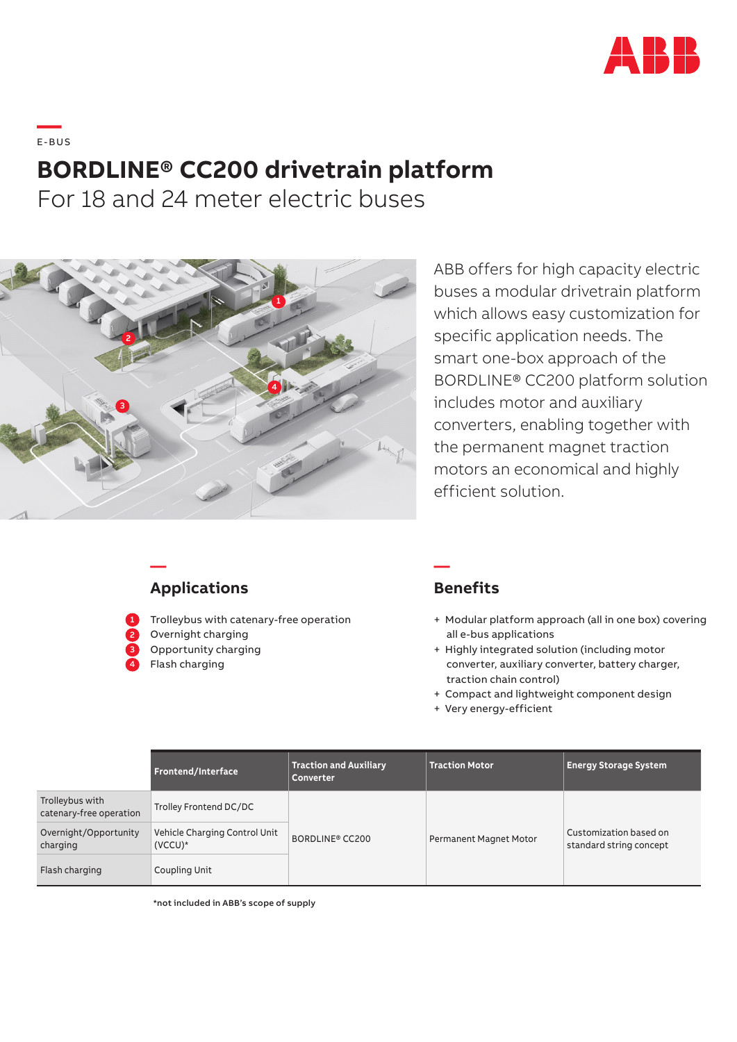

# **—**  E-BUS **BORDLINE® CC200 drivetrain platform**

For 18 and 24 meter electric buses



ABB offers for high capacity electric buses a modular drivetrain platform which allows easy customization for specific application needs. The smart one-box approach of the BORDLINE® CC200 platform solution includes motor and auxiliary converters, enabling together with the permanent magnet traction motors an economical and highly efficient solution.

## **Applications**

Trolleybus with catenary-free operation

- 2 Overnight charging
- 3 Opportunity charging
- 4 Flash charging

1

**—**

### **Benefits**

**—**

- + Modular platform approach (all in one box) covering all e-bus applications
- + Highly integrated solution (including motor converter, auxiliary converter, battery charger, traction chain control)
- + Compact and lightweight component design
- + Very energy-efficient

|                                            | Frontend/Interface                          | <b>Traction and Auxiliary</b><br><b>Converter</b> | <b>Traction Motor</b>  | <b>Energy Storage System</b>                      |
|--------------------------------------------|---------------------------------------------|---------------------------------------------------|------------------------|---------------------------------------------------|
| Trolleybus with<br>catenary-free operation | Trolley Frontend DC/DC                      | BORDLINE <sup>®</sup> CC200                       | Permanent Magnet Motor | Customization based on<br>standard string concept |
| Overnight/Opportunity<br>charging          | Vehicle Charging Control Unit<br>$(VCCU)^*$ |                                                   |                        |                                                   |
| Flash charging                             | Coupling Unit                               |                                                   |                        |                                                   |

\*not included in ABB's scope of supply